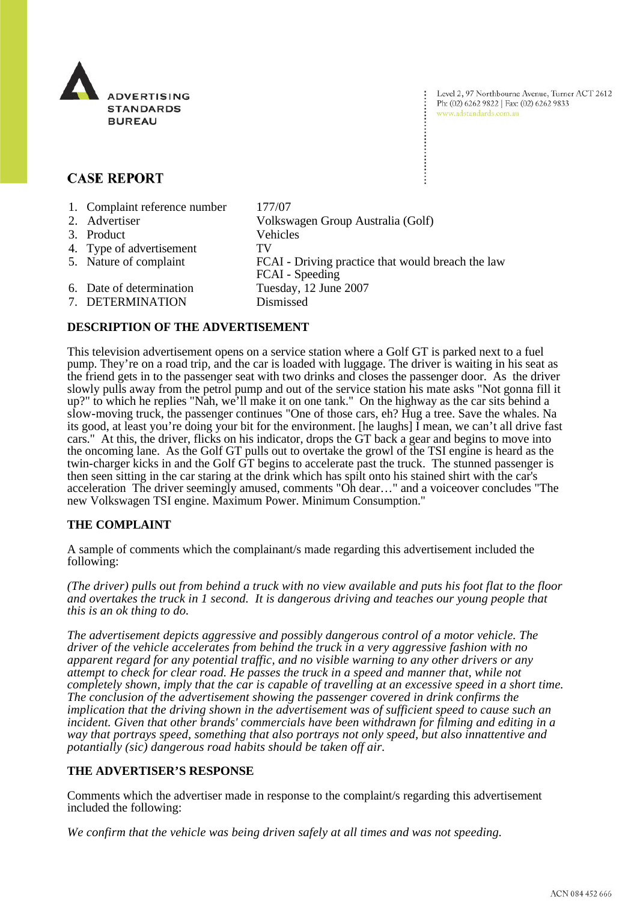

Level 2, 97 Northbourne Avenue, Turner ACT 2612 Ph: (02) 6262 9822 | Fax: (02) 6262 9833 www.adstandards.com.au

# **CASE REPORT**

| 1. Complaint reference number | 177/07                                                               |
|-------------------------------|----------------------------------------------------------------------|
| 2. Advertiser                 | Volkswagen Group Australia (Golf)                                    |
| 3. Product                    | <b>Vehicles</b>                                                      |
| 4. Type of advertisement      | TV                                                                   |
| 5. Nature of complaint        | FCAI - Driving practice that would breach the law<br>FCAI - Speeding |
| 6. Date of determination      | Tuesday, 12 June 2007                                                |
| 7. DETERMINATION              | Dismissed                                                            |

## **DESCRIPTION OF THE ADVERTISEMENT**

This television advertisement opens on a service station where a Golf GT is parked next to a fuel pump. They're on a road trip, and the car is loaded with luggage. The driver is waiting in his seat as the friend gets in to the passenger seat with two drinks and closes the passenger door. As the driver slowly pulls away from the petrol pump and out of the service station his mate asks "Not gonna fill it up?" to which he replies "Nah, we'll make it on one tank." On the highway as the car sits behind a slow-moving truck, the passenger continues "One of those cars, eh? Hug a tree. Save the whales. Na its good, at least you're doing your bit for the environment. [he laughs] I mean, we can't all drive fast cars." At this, the driver, flicks on his indicator, drops the GT back a gear and begins to move into the oncoming lane. As the Golf GT pulls out to overtake the growl of the TSI engine is heard as the twin-charger kicks in and the Golf GT begins to accelerate past the truck. The stunned passenger is then seen sitting in the car staring at the drink which has spilt onto his stained shirt with the car's acceleration The driver seemingly amused, comments "Oh dear…" and a voiceover concludes "The new Volkswagen TSI engine. Maximum Power. Minimum Consumption."

## **THE COMPLAINT**

A sample of comments which the complainant/s made regarding this advertisement included the following:

*(The driver) pulls out from behind a truck with no view available and puts his foot flat to the floor and overtakes the truck in 1 second. It is dangerous driving and teaches our young people that this is an ok thing to do.*

*The advertisement depicts aggressive and possibly dangerous control of a motor vehicle. The driver of the vehicle accelerates from behind the truck in a very aggressive fashion with no apparent regard for any potential traffic, and no visible warning to any other drivers or any attempt to check for clear road. He passes the truck in a speed and manner that, while not completely shown, imply that the car is capable of travelling at an excessive speed in a short time. The conclusion of the advertisement showing the passenger covered in drink confirms the implication that the driving shown in the advertisement was of sufficient speed to cause such an incident. Given that other brands' commercials have been withdrawn for filming and editing in a way that portrays speed, something that also portrays not only speed, but also innattentive and potantially (sic) dangerous road habits should be taken off air.*

## **THE ADVERTISER'S RESPONSE**

Comments which the advertiser made in response to the complaint/s regarding this advertisement included the following:

*We confirm that the vehicle was being driven safely at all times and was not speeding.*